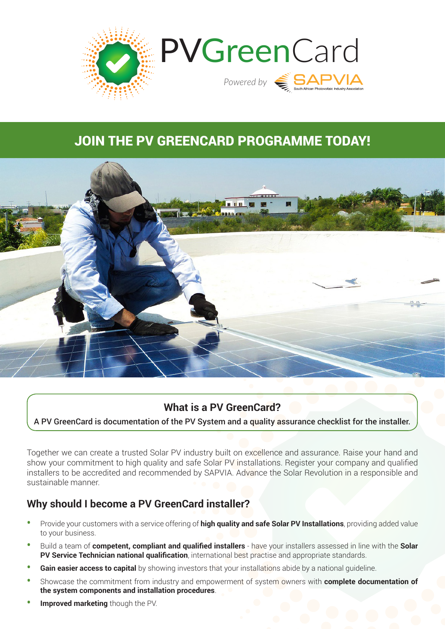

# JOIN THE PV GREENCARD PROGRAMME TODAY!



### **What is a PV GreenCard?**

A PV GreenCard is documentation of the PV System and a quality assurance checklist for the installer.

Together we can create a trusted Solar PV industry built on excellence and assurance. Raise your hand and show your commitment to high quality and safe Solar PV installations. Register your company and qualified installers to be accredited and recommended by SAPVIA. Advance the Solar Revolution in a responsible and sustainable manner.

#### **Why should I become a PV GreenCard installer?**

- **•** Provide your customers with a service offering of **high quality and safe Solar PV Installations**, providing added value to your business.
- **•** Build a team of **competent, compliant and qualified installers** have your installers assessed in line with the **Solar PV Service Technician national qualification**, international best practise and appropriate standards.
- **Gain easier access to capital** by showing investors that your installations abide by a national quideline.
- **•** Showcase the commitment from industry and empowerment of system owners with **complete documentation of the system components and installation procedures**.
- **• Improved marketing** though the PV.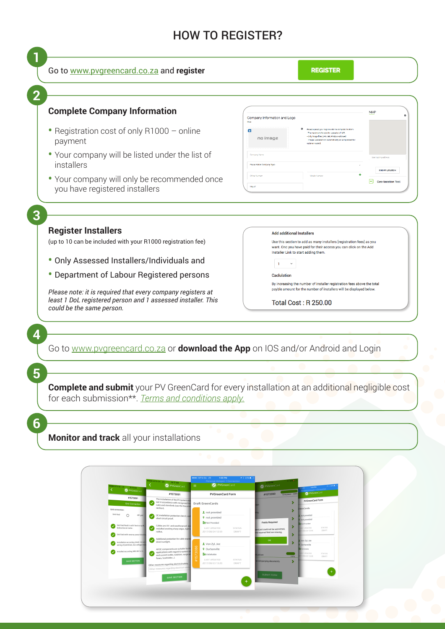## HOW TO REGISTER?